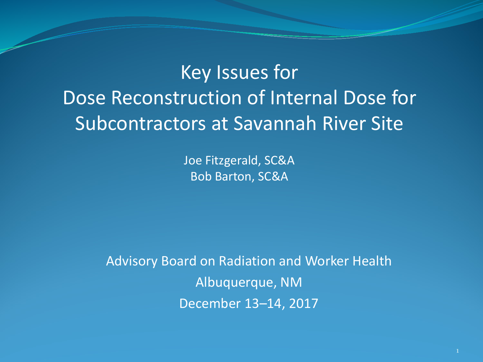## Key Issues for Dose Reconstruction of Internal Dose for Subcontractors at Savannah River Site

Joe Fitzgerald, SC&A Bob Barton, SC&A

Advisory Board on Radiation and Worker Health Albuquerque, NM December 13–14, 2017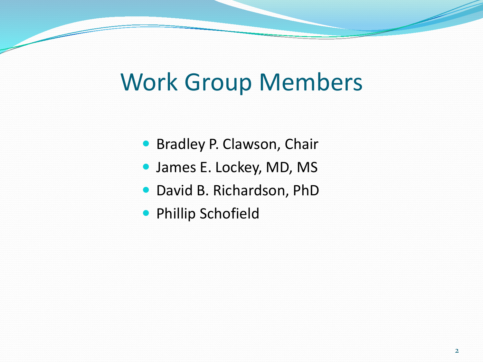# Work Group Members

- **Bradley P. Clawson, Chair**
- James E. Lockey, MD, MS
- David B. Richardson, PhD
- **Phillip Schofield**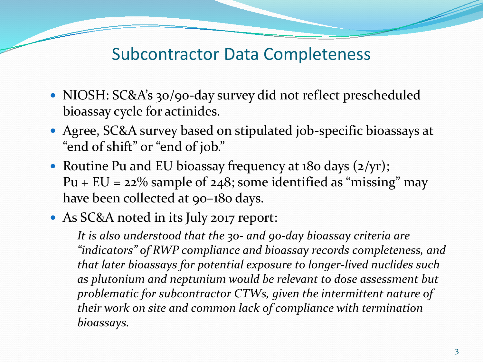#### Subcontractor Data Completeness

- NIOSH: SC&A's 30/90-day survey did not reflect prescheduled bioassay cycle for actinides.
- Agree, SC&A survey based on stipulated job-specific bioassays at "end of shift" or "end of job."
- Routine Pu and EU bioassay frequency at 180 days (2/yr); Pu +  $EU = 22\%$  sample of 248; some identified as "missing" may have been collected at 90–180 days.
- As SC&A noted in its July 2017 report:

*It is also understood that the 30- and 90-day bioassay criteria are "indicators" of RWP compliance and bioassay records completeness, and that later bioassays for potential exposure to longer-lived nuclides such as plutonium and neptunium would be relevant to dose assessment but problematic for subcontractor CTWs, given the intermittent nature of their work on site and common lack of compliance with termination bioassays.*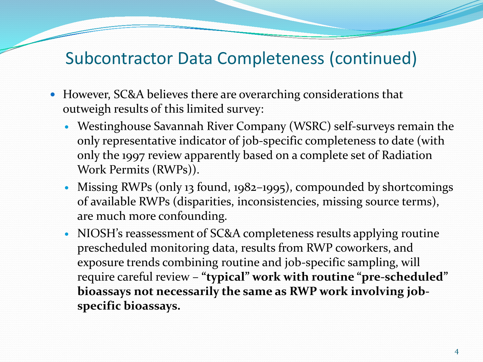## Subcontractor Data Completeness (continued)

- However, SC&A believes there are overarching considerations that outweigh results of this limited survey:
	- Westinghouse Savannah River Company (WSRC) self-surveys remain the only representative indicator of job-specific completeness to date (with only the 1997 review apparently based on a complete set of Radiation Work Permits (RWPs)).
	- Missing RWPs (only 13 found, 1982–1995), compounded by shortcomings of available RWPs (disparities, inconsistencies, missing source terms), are much more confounding.
	- NIOSH's reassessment of SC&A completeness results applying routine prescheduled monitoring data, results from RWP coworkers, and exposure trends combining routine and job-specific sampling, will require careful review – **"typical" work with routine "pre-scheduled" bioassays not necessarily the same as RWP work involving jobspecific bioassays.**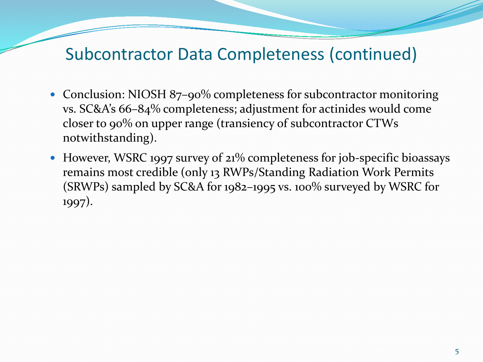#### Subcontractor Data Completeness (continued)

- Conclusion: NIOSH 87-90% completeness for subcontractor monitoring vs. SC&A's 66–84% completeness; adjustment for actinides would come closer to 90% on upper range (transiency of subcontractor CTWs notwithstanding).
- However, WSRC 1997 survey of 21% completeness for job-specific bioassays remains most credible (only 13 RWPs/Standing Radiation Work Permits (SRWPs) sampled by SC&A for 1982–1995 vs. 100% surveyed by WSRC for 1997).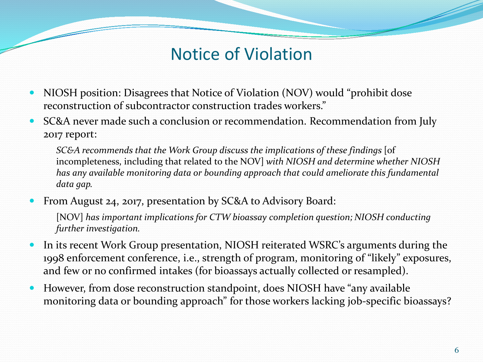## Notice of Violation

- NIOSH position: Disagrees that Notice of Violation (NOV) would "prohibit dose reconstruction of subcontractor construction trades workers."
- SC&A never made such a conclusion or recommendation. Recommendation from July 2017 report:

*SC&A recommends that the Work Group discuss the implications of these findings* [of incompleteness, including that related to the NOV] *with NIOSH and determine whether NIOSH has any available monitoring data or bounding approach that could ameliorate this fundamental data gap.*

From August 24, 2017, presentation by SC&A to Advisory Board:

[NOV] has important implications for CTW bioassay completion question; NIOSH conducting *further investigation.*

- In its recent Work Group presentation, NIOSH reiterated WSRC's arguments during the 1998 enforcement conference, i.e., strength of program, monitoring of "likely" exposures, and few or no confirmed intakes (for bioassays actually collected or resampled).
- However, from dose reconstruction standpoint, does NIOSH have "any available monitoring data or bounding approach" for those workers lacking job-specific bioassays?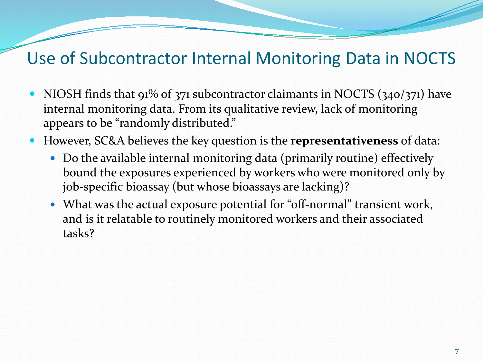## Use of Subcontractor Internal Monitoring Data in NOCTS

- NIOSH finds that  $91\%$  of 371 subcontractor claimants in NOCTS (340/371) have internal monitoring data. From its qualitative review, lack of monitoring appears to be "randomly distributed."
- However, SC&A believes the key question is the **representativeness** of data:
	- Do the available internal monitoring data (primarily routine) effectively bound the exposures experienced by workers who were monitored only by job-specific bioassay (but whose bioassays are lacking)?
	- What was the actual exposure potential for "off-normal" transient work, and is it relatable to routinely monitored workers and their associated tasks?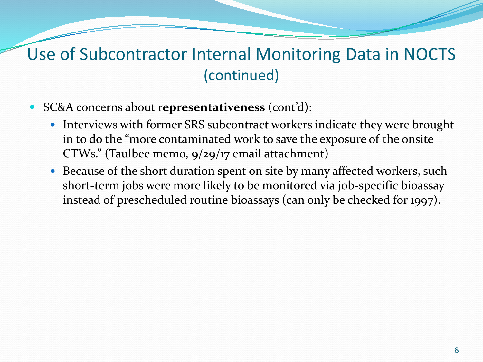## Use of Subcontractor Internal Monitoring Data in NOCTS (continued)

- SC&A concerns about r**epresentativeness** (cont'd):
	- Interviews with former SRS subcontract workers indicate they were brought in to do the "more contaminated work to save the exposure of the onsite CTWs." (Taulbee memo, 9/29/17 email attachment)
	- Because of the short duration spent on site by many affected workers, such short-term jobs were more likely to be monitored via job-specific bioassay instead of prescheduled routine bioassays (can only be checked for 1997).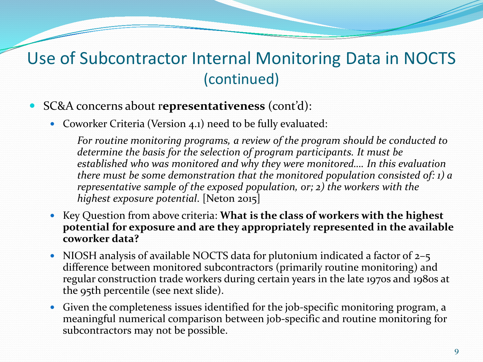## Use of Subcontractor Internal Monitoring Data in NOCTS (continued)

- SC&A concerns about r**epresentativeness** (cont'd):
	- Coworker Criteria (Version 4.1) need to be fully evaluated:

*For routine monitoring programs, a review of the program should be conducted to determine the basis for the selection of program participants. It must be established who was monitored and why they were monitored…. In this evaluation there must be some demonstration that the monitored population consisted of: 1) a representative sample of the exposed population, or; 2) the workers with the highest exposure potential*. [Neton 2015]

- Key Question from above criteria: **What is the class of workers with the highest potential for exposure and are they appropriately represented in the available coworker data?**
- NIOSH analysis of available NOCTS data for plutonium indicated a factor of 2-5 difference between monitored subcontractors (primarily routine monitoring) and regular construction trade workers during certain years in the late 1970s and 1980s at the 95th percentile (see next slide).
- Given the completeness issues identified for the job-specific monitoring program, a meaningful numerical comparison between job-specific and routine monitoring for subcontractors may not be possible.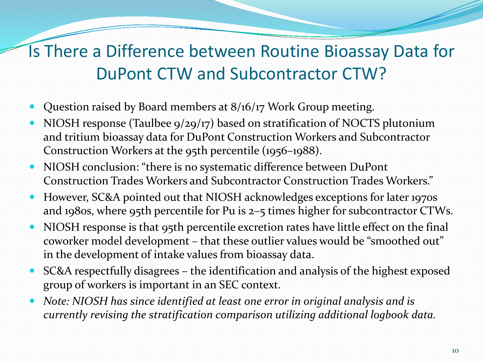## Is There a Difference between Routine Bioassay Data for DuPont CTW and Subcontractor CTW?

- Question raised by Board members at 8/16/17 Work Group meeting.
- NIOSH response (Taulbee 9/29/17) based on stratification of NOCTS plutonium and tritium bioassay data for DuPont Construction Workers and Subcontractor Construction Workers at the 95th percentile (1956–1988).
- NIOSH conclusion: "there is no systematic difference between DuPont Construction Trades Workers and Subcontractor Construction Trades Workers."
- However, SC&A pointed out that NIOSH acknowledges exceptions for later 1970s and 1980s, where 95th percentile for Pu is 2–5 times higher for subcontractor CTWs.
- NIOSH response is that 95th percentile excretion rates have little effect on the final coworker model development – that these outlier values would be "smoothed out" in the development of intake values from bioassay data.
- SC&A respectfully disagrees the identification and analysis of the highest exposed group of workers is important in an SEC context.
- *Note: NIOSH has since identified at least one error in original analysis and is currently revising the stratification comparison utilizing additional logbook data.*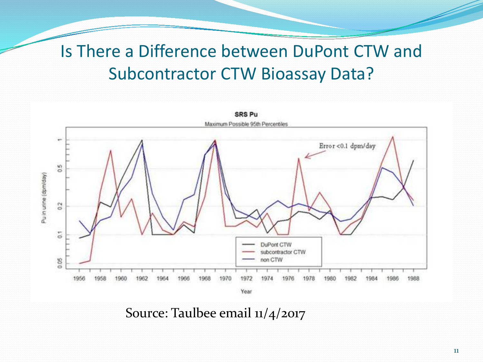## Is There a Difference between DuPont CTW and Subcontractor CTW Bioassay Data?



Source: Taulbee email 11/4/2017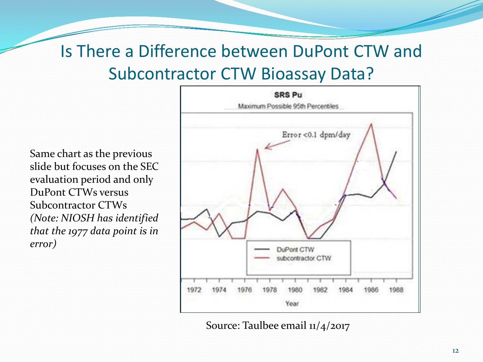## Is There a Difference between DuPont CTW and Subcontractor CTW Bioassay Data?

Same chart as the previous slide but focuses on the SEC evaluation period and only DuPont CTWs versus Subcontractor CTWs *(Note: NIOSH has identified that the 1977 data point is in error)*



Source: Taulbee email 11/4/2017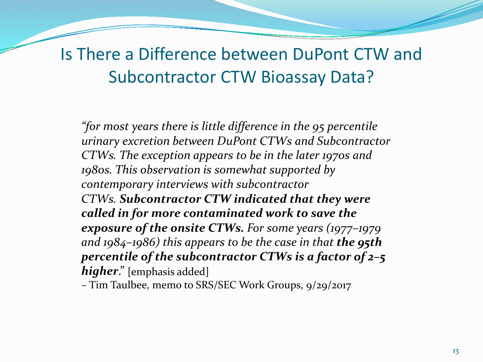## Is There a Difference between DuPont CTW and Subcontractor CTW Bioassay Data?

*"for most years there is little difference in the 95 percentile urinary excretion between DuPont CTWs and Subcontractor CTWs. The exception appears to be in the later 1970s and 1980s. This observation is somewhat supported by contemporary interviews with subcontractor CTWs. Subcontractor CTW indicated that they were called in for more contaminated work to save the exposure of the onsite CTWs. For some years (1977–1979 and 1984–1986) this appears to be the case in that the 95th percentile of the subcontractor CTWs is a factor of 2–5 higher*." [emphasis added]

– Tim Taulbee, memo to SRS/SEC Work Groups, 9/29/2017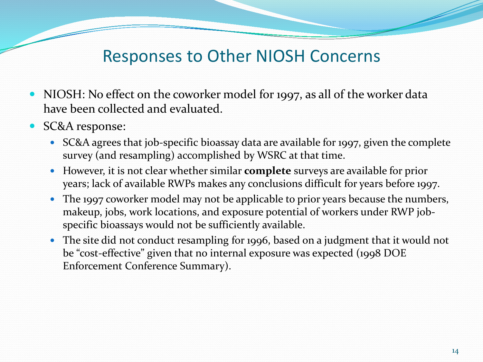## Responses to Other NIOSH Concerns

- NIOSH: No effect on the coworker model for 1997, as all of the worker data have been collected and evaluated.
- SC&A response:
	- SC&A agrees that job-specific bioassay data are available for 1997, given the complete survey (and resampling) accomplished by WSRC at that time.
	- However, it is not clear whether similar **complete** surveys are available for prior years; lack of available RWPs makes any conclusions difficult for years before 1997.
	- The 1997 coworker model may not be applicable to prior years because the numbers, makeup, jobs, work locations, and exposure potential of workers under RWP jobspecific bioassays would not be sufficiently available.
	- The site did not conduct resampling for 1996, based on a judgment that it would not be "cost-effective" given that no internal exposure was expected (1998 DOE Enforcement Conference Summary).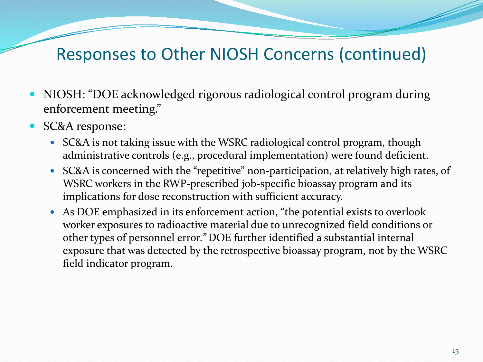- NIOSH: "DOE acknowledged rigorous radiological control program during enforcement meeting."
- SC&A response:
	- SC&A is not taking issue with the WSRC radiological control program, though administrative controls (e.g., procedural implementation) were found deficient.
	- SC&A is concerned with the "repetitive" non-participation, at relatively high rates, of WSRC workers in the RWP-prescribed job-specific bioassay program and its implications for dose reconstruction with sufficient accuracy.
	- As DOE emphasized in its enforcement action, "the potential exists to overlook worker exposures to radioactive material due to unrecognized field conditions or other types of personnel error*."* DOE further identified a substantial internal exposure that was detected by the retrospective bioassay program, not by the WSRC field indicator program.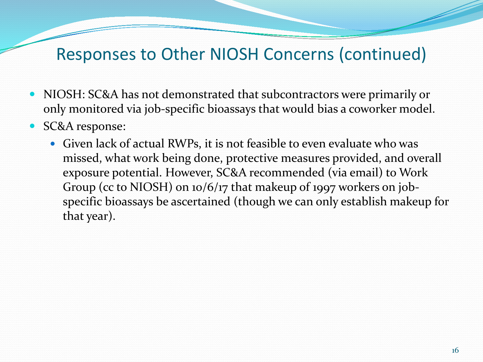- NIOSH: SC&A has not demonstrated that subcontractors were primarily or only monitored via job-specific bioassays that would bias a coworker model.
- SC&A response:
	- Given lack of actual RWPs, it is not feasible to even evaluate who was missed, what work being done, protective measures provided, and overall exposure potential. However, SC&A recommended (via email) to Work Group (cc to NIOSH) on 10/6/17 that makeup of 1997 workers on jobspecific bioassays be ascertained (though we can only establish makeup for that year).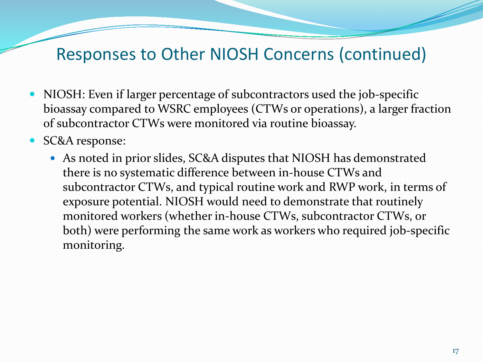- NIOSH: Even if larger percentage of subcontractors used the job-specific bioassay compared to WSRC employees (CTWs or operations), a larger fraction of subcontractor CTWs were monitored via routine bioassay.
- SC&A response:
	- As noted in prior slides, SC&A disputes that NIOSH has demonstrated there is no systematic difference between in-house CTWs and subcontractor CTWs, and typical routine work and RWP work, in terms of exposure potential. NIOSH would need to demonstrate that routinely monitored workers (whether in-house CTWs, subcontractor CTWs, or both) were performing the same work as workers who required job-specific monitoring.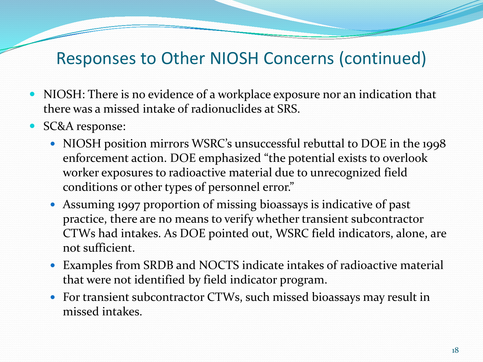- NIOSH: There is no evidence of a workplace exposure nor an indication that there was a missed intake of radionuclides at SRS.
- SC&A response:
	- NIOSH position mirrors WSRC's unsuccessful rebuttal to DOE in the 1998 enforcement action. DOE emphasized "the potential exists to overlook worker exposures to radioactive material due to unrecognized field conditions or other types of personnel error."
	- Assuming 1997 proportion of missing bioassays is indicative of past practice, there are no means to verify whether transient subcontractor CTWs had intakes. As DOE pointed out, WSRC field indicators, alone, are not sufficient.
	- Examples from SRDB and NOCTS indicate intakes of radioactive material that were not identified by field indicator program.
	- For transient subcontractor CTWs, such missed bioassays may result in missed intakes.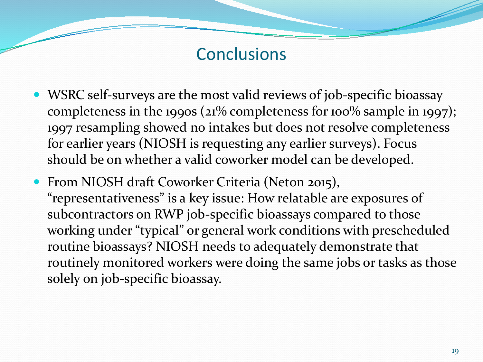#### **Conclusions**

- WSRC self-surveys are the most valid reviews of job-specific bioassay completeness in the 1990s (21% completeness for 100% sample in 1997); 1997 resampling showed no intakes but does not resolve completeness for earlier years (NIOSH is requesting any earlier surveys). Focus should be on whether a valid coworker model can be developed.
- From NIOSH draft Coworker Criteria (Neton 2015), "representativeness" is a key issue: How relatable are exposures of subcontractors on RWP job-specific bioassays compared to those working under "typical" or general work conditions with prescheduled routine bioassays? NIOSH needs to adequately demonstrate that routinely monitored workers were doing the same jobs or tasks as those solely on job-specific bioassay.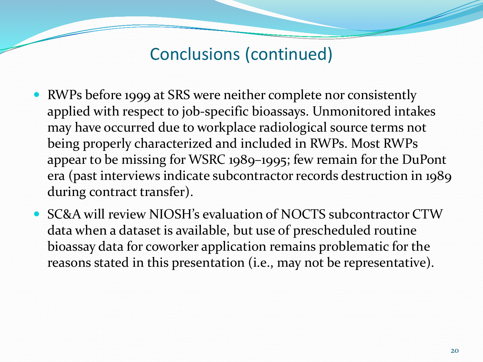Conclusions (continued)

- RWPs before 1999 at SRS were neither complete nor consistently applied with respect to job-specific bioassays. Unmonitored intakes may have occurred due to workplace radiological source terms not being properly characterized and included in RWPs. Most RWPs appear to be missing for WSRC 1989–1995; few remain for the DuPont era (past interviews indicate subcontractor records destruction in 1989 during contract transfer).
- SC&A will review NIOSH's evaluation of NOCTS subcontractor CTW data when a dataset is available, but use of prescheduled routine bioassay data for coworker application remains problematic for the reasons stated in this presentation (i.e., may not be representative).